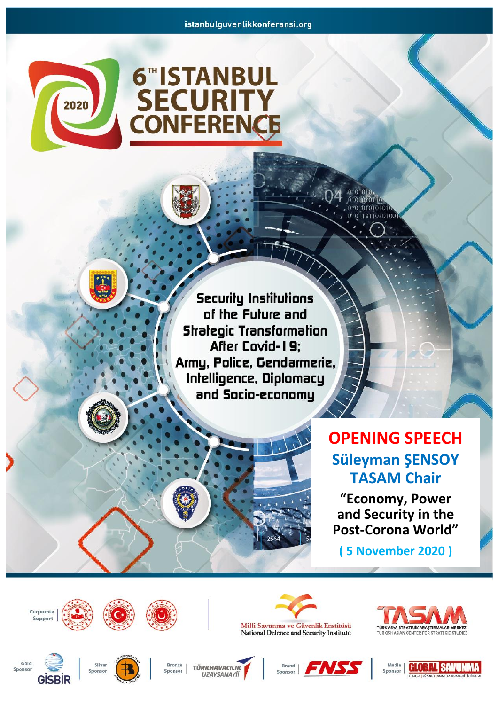

## **6"ISTANBUL SECURITY**<br>CONFERENCE

**Securily Institutions** of the Future and **Strategic Transformation** After Covid-19; Army, Police, Gendarmerie, Infelligence, Diplomacy and Socio-economy

## **OPENING SPEECH Süleyman ŞENSOY TASAM Chair**

 $0101010$ 0101010110 0101010101010<br>010110110101001

**"Economy, Power and Security in the Post-Corona World"**

**( 5 November 2020 )**





**TÜRKHAVACILIK UZAYSANAYİİ** 

Millî Savunma ve Güvenlik Enstitüsü<br>National Defence and Security Institute

ENSS

Brand

Sponsor



Corporate Support

**GISB** 

Gold

Sponsor



























Bronze

Sponsor









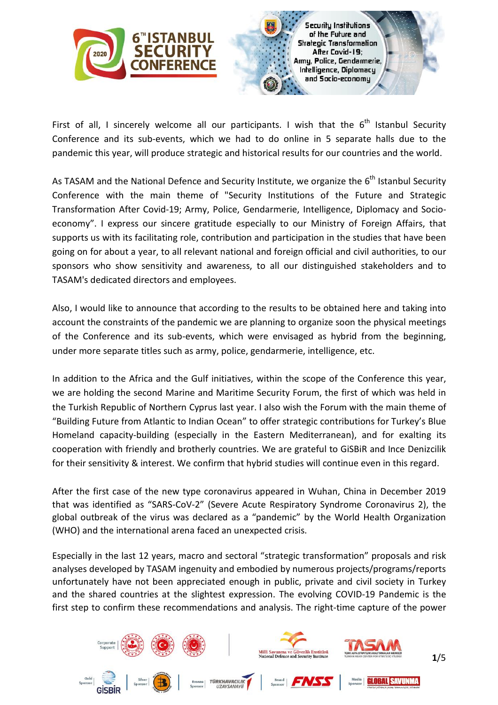

First of all, I sincerely welcome all our participants. I wish that the  $6^{th}$  Istanbul Security Conference and its sub-events, which we had to do online in 5 separate halls due to the pandemic this year, will produce strategic and historical results for our countries and the world.

As TASAM and the National Defence and Security Institute, we organize the 6<sup>th</sup> Istanbul Security Conference with the main theme of "Security Institutions of the Future and Strategic Transformation After Covid-19; Army, Police, Gendarmerie, Intelligence, Diplomacy and Socioeconomy". I express our sincere gratitude especially to our Ministry of Foreign Affairs, that supports us with its facilitating role, contribution and participation in the studies that have been going on for about a year, to all relevant national and foreign official and civil authorities, to our sponsors who show sensitivity and awareness, to all our distinguished stakeholders and to TASAM's dedicated directors and employees.

Also, I would like to announce that according to the results to be obtained here and taking into account the constraints of the pandemic we are planning to organize soon the physical meetings of the Conference and its sub-events, which were envisaged as hybrid from the beginning, under more separate titles such as army, police, gendarmerie, intelligence, etc.

In addition to the Africa and the Gulf initiatives, within the scope of the Conference this year, we are holding the second Marine and Maritime Security Forum, the first of which was held in the Turkish Republic of Northern Cyprus last year. I also wish the Forum with the main theme of "Building Future from Atlantic to Indian Ocean" to offer strategic contributions for Turkey's Blue Homeland capacity-building (especially in the Eastern Mediterranean), and for exalting its cooperation with friendly and brotherly countries. We are grateful to GiSBiR and Ince Denizcilik for their sensitivity & interest. We confirm that hybrid studies will continue even in this regard.

After the first case of the new type coronavirus appeared in Wuhan, China in December 2019 that was identified as "SARS-CoV-2" (Severe Acute Respiratory Syndrome Coronavirus 2), the global outbreak of the virus was declared as a "pandemic" by the World Health Organization (WHO) and the international arena faced an unexpected crisis.

Especially in the last 12 years, macro and sectoral "strategic transformation" proposals and risk analyses developed by TASAM ingenuity and embodied by numerous projects/programs/reports unfortunately have not been appreciated enough in public, private and civil society in Turkey and the shared countries at the slightest expression. The evolving COVID-19 Pandemic is the first step to confirm these recommendations and analysis. The right-time capture of the power

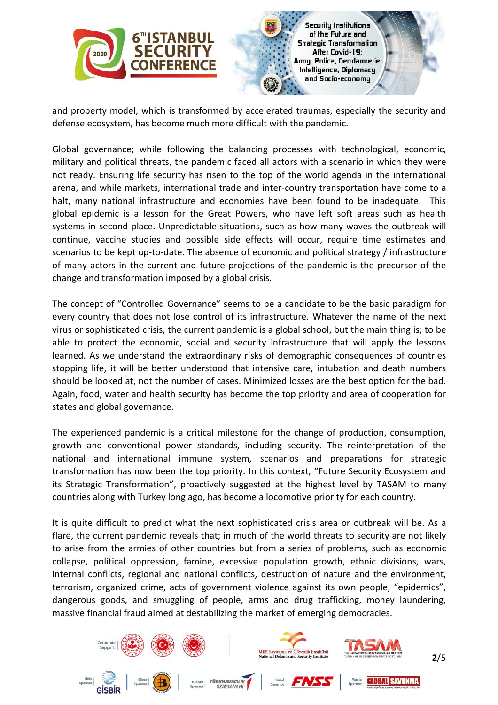



and property model, which is transformed by accelerated traumas, especially the security and defense ecosystem, has become much more difficult with the pandemic.

Global governance; while following the balancing processes with technological, economic, military and political threats, the pandemic faced all actors with a scenario in which they were not ready. Ensuring life security has risen to the top of the world agenda in the international arena, and while markets, international trade and inter-country transportation have come to a halt, many national infrastructure and economies have been found to be inadequate. This global epidemic is a lesson for the Great Powers, who have left soft areas such as health systems in second place. Unpredictable situations, such as how many waves the outbreak will continue, vaccine studies and possible side effects will occur, require time estimates and scenarios to be kept up-to-date. The absence of economic and political strategy / infrastructure of many actors in the current and future projections of the pandemic is the precursor of the change and transformation imposed by a global crisis.

The concept of "Controlled Governance" seems to be a candidate to be the basic paradigm for every country that does not lose control of its infrastructure. Whatever the name of the next virus or sophisticated crisis, the current pandemic is a global school, but the main thing is; to be able to protect the economic, social and security infrastructure that will apply the lessons learned. As we understand the extraordinary risks of demographic consequences of countries stopping life, it will be better understood that intensive care, intubation and death numbers should be looked at, not the number of cases. Minimized losses are the best option for the bad. Again, food, water and health security has become the top priority and area of cooperation for states and global governance.

The experienced pandemic is a critical milestone for the change of production, consumption, growth and conventional power standards, including security. The reinterpretation of the national and international immune system, scenarios and preparations for strategic transformation has now been the top priority. In this context, "Future Security Ecosystem and its Strategic Transformation", proactively suggested at the highest level by TASAM to many countries along with Turkey long ago, has become a locomotive priority for each country.

It is quite difficult to predict what the next sophisticated crisis area or outbreak will be. As a flare, the current pandemic reveals that; in much of the world threats to security are not likely to arise from the armies of other countries but from a series of problems, such as economic collapse, political oppression, famine, excessive population growth, ethnic divisions, wars, internal conflicts, regional and national conflicts, destruction of nature and the environment, terrorism, organized crime, acts of government violence against its own people, "epidemics", dangerous goods, and smuggling of people, arms and drug trafficking, money laundering, massive financial fraud aimed at destabilizing the market of emerging democracies.

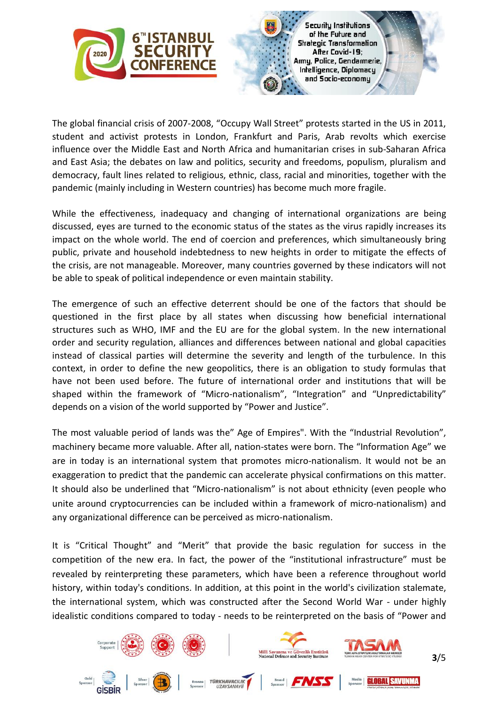

The global financial crisis of 2007-2008, "Occupy Wall Street" protests started in the US in 2011, student and activist protests in London, Frankfurt and Paris, Arab revolts which exercise influence over the Middle East and North Africa and humanitarian crises in sub-Saharan Africa and East Asia; the debates on law and politics, security and freedoms, populism, pluralism and democracy, fault lines related to religious, ethnic, class, racial and minorities, together with the pandemic (mainly including in Western countries) has become much more fragile.

While the effectiveness, inadequacy and changing of international organizations are being discussed, eyes are turned to the economic status of the states as the virus rapidly increases its impact on the whole world. The end of coercion and preferences, which simultaneously bring public, private and household indebtedness to new heights in order to mitigate the effects of the crisis, are not manageable. Moreover, many countries governed by these indicators will not be able to speak of political independence or even maintain stability.

The emergence of such an effective deterrent should be one of the factors that should be questioned in the first place by all states when discussing how beneficial international structures such as WHO, IMF and the EU are for the global system. In the new international order and security regulation, alliances and differences between national and global capacities instead of classical parties will determine the severity and length of the turbulence. In this context, in order to define the new geopolitics, there is an obligation to study formulas that have not been used before. The future of international order and institutions that will be shaped within the framework of "Micro-nationalism", "Integration" and "Unpredictability" depends on a vision of the world supported by "Power and Justice".

The most valuable period of lands was the" Age of Empires". With the "Industrial Revolution", machinery became more valuable. After all, nation-states were born. The "Information Age" we are in today is an international system that promotes micro-nationalism. It would not be an exaggeration to predict that the pandemic can accelerate physical confirmations on this matter. It should also be underlined that "Micro-nationalism" is not about ethnicity (even people who unite around cryptocurrencies can be included within a framework of micro-nationalism) and any organizational difference can be perceived as micro-nationalism.

It is "Critical Thought" and "Merit" that provide the basic regulation for success in the competition of the new era. In fact, the power of the "institutional infrastructure" must be revealed by reinterpreting these parameters, which have been a reference throughout world history, within today's conditions. In addition, at this point in the world's civilization stalemate, the international system, which was constructed after the Second World War - under highly idealistic conditions compared to today - needs to be reinterpreted on the basis of "Power and

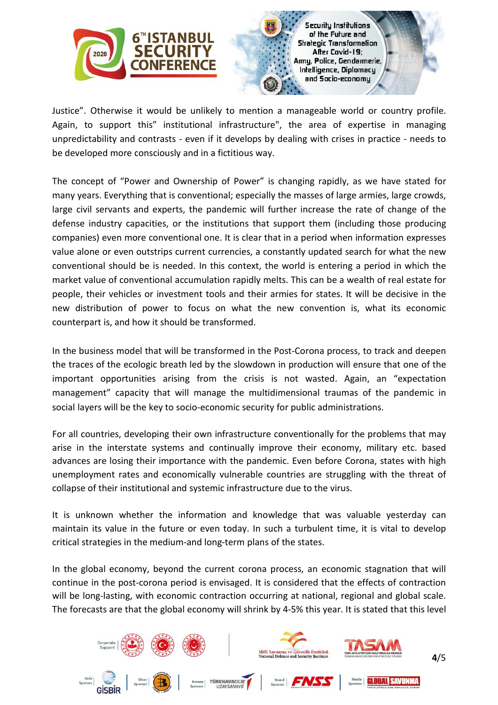

Justice". Otherwise it would be unlikely to mention a manageable world or country profile. Again, to support this" institutional infrastructure", the area of expertise in managing unpredictability and contrasts - even if it develops by dealing with crises in practice - needs to be developed more consciously and in a fictitious way.

The concept of "Power and Ownership of Power" is changing rapidly, as we have stated for many years. Everything that is conventional; especially the masses of large armies, large crowds, large civil servants and experts, the pandemic will further increase the rate of change of the defense industry capacities, or the institutions that support them (including those producing companies) even more conventional one. It is clear that in a period when information expresses value alone or even outstrips current currencies, a constantly updated search for what the new conventional should be is needed. In this context, the world is entering a period in which the market value of conventional accumulation rapidly melts. This can be a wealth of real estate for people, their vehicles or investment tools and their armies for states. It will be decisive in the new distribution of power to focus on what the new convention is, what its economic counterpart is, and how it should be transformed.

In the business model that will be transformed in the Post-Corona process, to track and deepen the traces of the ecologic breath led by the slowdown in production will ensure that one of the important opportunities arising from the crisis is not wasted. Again, an "expectation management" capacity that will manage the multidimensional traumas of the pandemic in social layers will be the key to socio-economic security for public administrations.

For all countries, developing their own infrastructure conventionally for the problems that may arise in the interstate systems and continually improve their economy, military etc. based advances are losing their importance with the pandemic. Even before Corona, states with high unemployment rates and economically vulnerable countries are struggling with the threat of collapse of their institutional and systemic infrastructure due to the virus.

It is unknown whether the information and knowledge that was valuable yesterday can maintain its value in the future or even today. In such a turbulent time, it is vital to develop critical strategies in the medium-and long-term plans of the states.

In the global economy, beyond the current corona process, an economic stagnation that will continue in the post-corona period is envisaged. It is considered that the effects of contraction will be long-lasting, with economic contraction occurring at national, regional and global scale. The forecasts are that the global economy will shrink by 4-5% this year. It is stated that this level

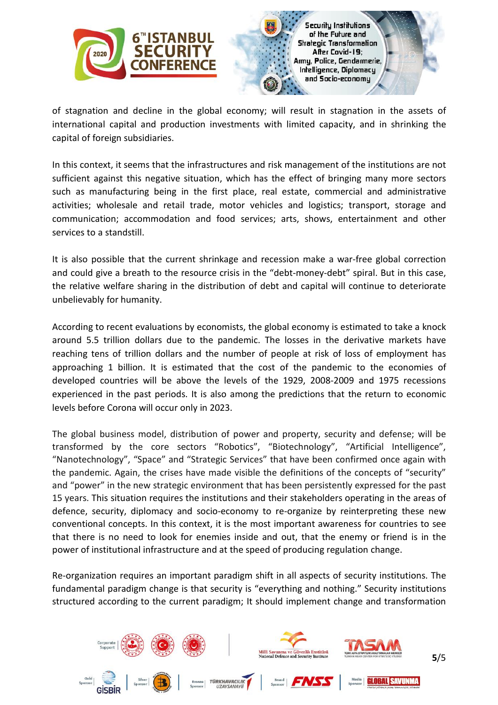

of stagnation and decline in the global economy; will result in stagnation in the assets of international capital and production investments with limited capacity, and in shrinking the capital of foreign subsidiaries.

In this context, it seems that the infrastructures and risk management of the institutions are not sufficient against this negative situation, which has the effect of bringing many more sectors such as manufacturing being in the first place, real estate, commercial and administrative activities; wholesale and retail trade, motor vehicles and logistics; transport, storage and communication; accommodation and food services; arts, shows, entertainment and other services to a standstill.

It is also possible that the current shrinkage and recession make a war-free global correction and could give a breath to the resource crisis in the "debt-money-debt" spiral. But in this case, the relative welfare sharing in the distribution of debt and capital will continue to deteriorate unbelievably for humanity.

According to recent evaluations by economists, the global economy is estimated to take a knock around 5.5 trillion dollars due to the pandemic. The losses in the derivative markets have reaching tens of trillion dollars and the number of people at risk of loss of employment has approaching 1 billion. It is estimated that the cost of the pandemic to the economies of developed countries will be above the levels of the 1929, 2008-2009 and 1975 recessions experienced in the past periods. It is also among the predictions that the return to economic levels before Corona will occur only in 2023.

The global business model, distribution of power and property, security and defense; will be transformed by the core sectors "Robotics", "Biotechnology", "Artificial Intelligence", "Nanotechnology", "Space" and "Strategic Services" that have been confirmed once again with the pandemic. Again, the crises have made visible the definitions of the concepts of "security" and "power" in the new strategic environment that has been persistently expressed for the past 15 years. This situation requires the institutions and their stakeholders operating in the areas of defence, security, diplomacy and socio-economy to re-organize by reinterpreting these new conventional concepts. In this context, it is the most important awareness for countries to see that there is no need to look for enemies inside and out, that the enemy or friend is in the power of institutional infrastructure and at the speed of producing regulation change.

Re-organization requires an important paradigm shift in all aspects of security institutions. The fundamental paradigm change is that security is "everything and nothing." Security institutions structured according to the current paradigm; It should implement change and transformation